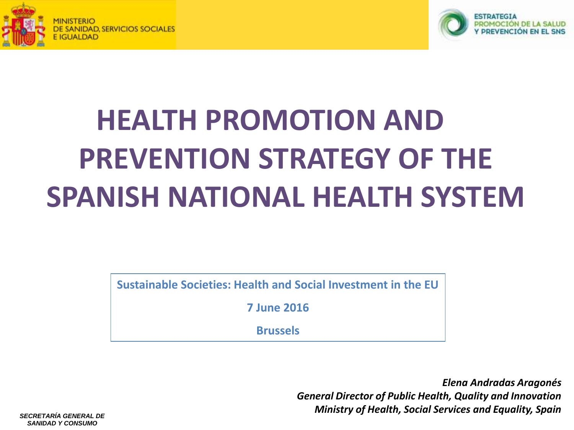



# **HEALTH PROMOTION AND PREVENTION STRATEGY OF THE SPANISH NATIONAL HEALTH SYSTEM**

**Sustainable Societies: Health and Social Investment in the EU**

**7 June 2016**

**Brussels**

*Elena Andradas Aragonés General Director of Public Health, Quality and Innovation Ministry of Health, Social Services and Equality, Spain*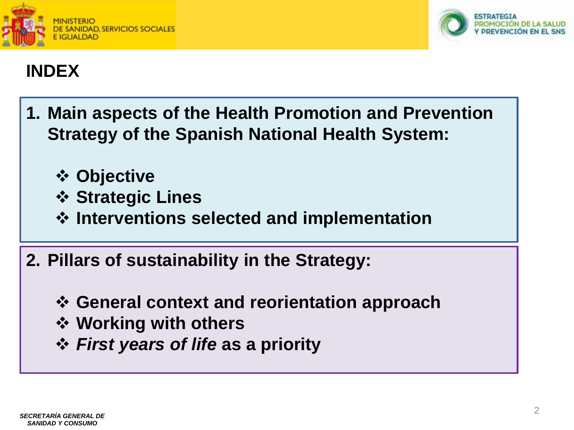



#### **INDEX**

- **1. Main aspects of the Health Promotion and Prevention Strategy of the Spanish National Health System:**
	- **Objective**
	- **Strategic Lines**
	- **Interventions selected and implementation**
- **2. Pillars of sustainability in the Strategy:**
	- **General context and reorientation approach**
	- **Working with others**
	- *First years of life* **as a priority**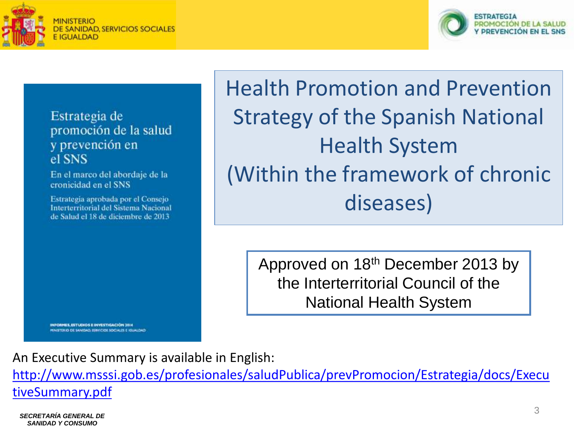



Estrategia de promoción de la salud y prevención en el SNS

En el marco del abordaje de la cronicidad en el SNS

Estrategia aprobada por el Consejo Interterritorial del Sistema Nacional de Salud el 18 de diciembre de 2013

Health Promotion and Prevention Strategy of the Spanish National Health System (Within the framework of chronic diseases)

> Approved on 18th December 2013 by the Interterritorial Council of the National Health System

INFORMES, ESTUDIOS E INVESTIGACIÓN 3014 MINISTERIO DE SANIDAD: ISRNICIOS SOCIALES E IGUALDAD

An Executive Summary is available in English:

[http://www.msssi.gob.es/profesionales/saludPublica/prevPromocion/Estrategia/docs/Execu](http://www.msssi.gob.es/profesionales/saludPublica/prevPromocion/Estrategia/docs/ExecutiveSummary.pdf) [tiveSummary.pdf](http://www.msssi.gob.es/profesionales/saludPublica/prevPromocion/Estrategia/docs/ExecutiveSummary.pdf)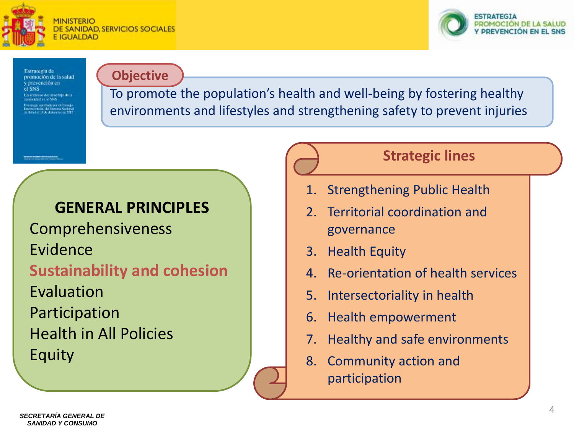



Estrategia de promoción de la salud corevención en .<br>La el mono del abordaje de la<br>monoidad en el SNS aquica per toda por el Corio ( anticipiumi del Sinoma Naciona<br>Salaturi i S. Rechemento de 2012

#### **Objective**

To promote the population's health and well-being by fostering healthy environments and lifestyles and strengthening safety to prevent injuries

#### **GENERAL PRINCIPLES**

Comprehensiveness Evidence **Sustainability and cohesion** Evaluation Participation Health in All Policies Equity

#### **Strategic lines**

- 1. Strengthening Public Health
- 2. Territorial coordination and governance
- 3. Health Equity
- 4. Re-orientation of health services
- 5. Intersectoriality in health
- 6. Health empowerment
- 7. Healthy and safe environments
- 8. Community action and participation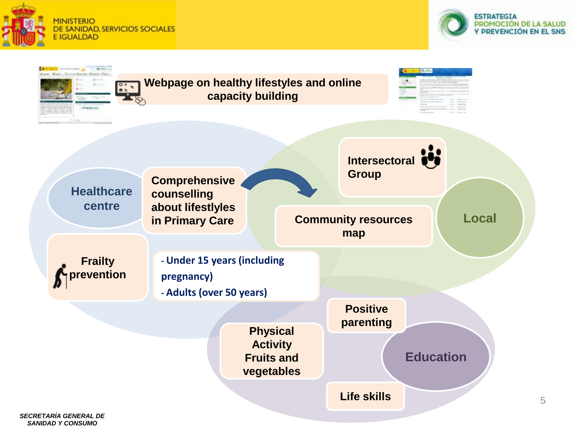



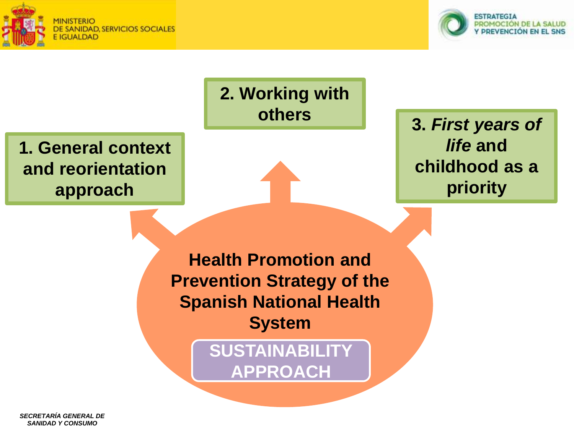





*SANIDAD Y CONSUMO*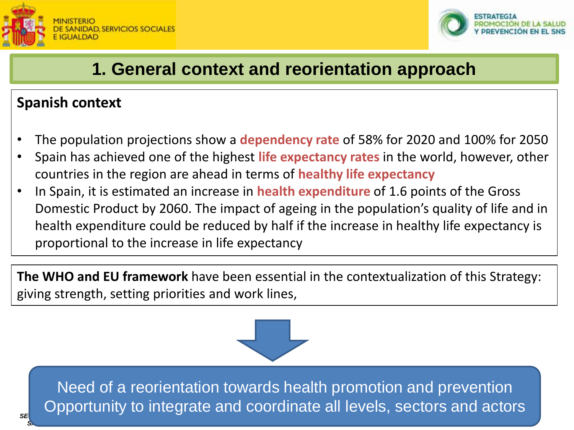



#### **1. General context and reorientation approach**

#### **Spanish context**

- The population projections show a **dependency rate** of 58% for 2020 and 100% for 2050
- Spain has achieved one of the highest **life expectancy rates** in the world, however, other countries in the region are ahead in terms of **healthy life expectancy**
- In Spain, it is estimated an increase in **health expenditure** of 1.6 points of the Gross Domestic Product by 2060. The impact of ageing in the population's quality of life and in health expenditure could be reduced by half if the increase in healthy life expectancy is proportional to the increase in life expectancy

**The WHO and EU framework** have been essential in the contextualization of this Strategy: giving strength, setting priorities and work lines,



**C** Opportunity to integrate and coordinate all levels, sectors and actors Need of a reorientation towards health promotion and prevention

**SANIDAD Y CONSUMO**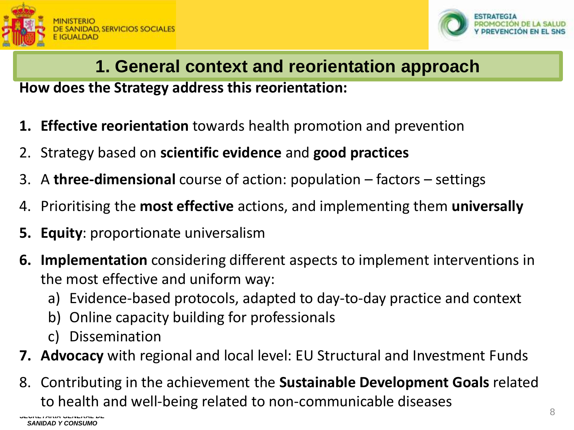



## **1. General context and reorientation approach**

**How does the Strategy address this reorientation:** 

- **1. Effective reorientation** towards health promotion and prevention
- 2. Strategy based on **scientific evidence** and **good practices**
- 3. A **three-dimensional** course of action: population factors settings
- 4. Prioritising the **most effective** actions, and implementing them **universally**
- **5. Equity**: proportionate universalism
- **6. Implementation** considering different aspects to implement interventions in the most effective and uniform way:
	- a) Evidence-based protocols, adapted to day-to-day practice and context
	- b) Online capacity building for professionals
	- c) Dissemination
- **7. Advocacy** with regional and local level: EU Structural and Investment Funds
- 8. Contributing in the achievement the **Sustainable Development Goals** related to health and well-being related to non-communicable diseases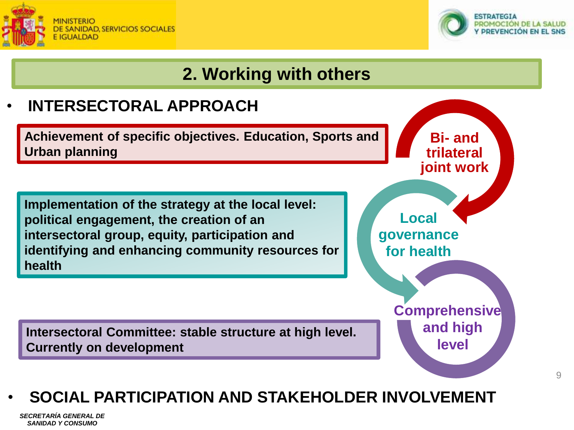



## **2. Working with others**

## • **INTERSECTORAL APPROACH Achievement of specific objectives. Education, Sports and Urban planning Implementation of the strategy at the local level: political engagement, the creation of an intersectoral group, equity, participation and identifying and enhancing community resources for health**

**Intersectoral Committee: stable structure at high level. Currently on development**

## **Local governance for health Comprehensive and high level**

**Bi- and trilateral** 

**joint work**

#### • **SOCIAL PARTICIPATION AND STAKEHOLDER INVOLVEMENT**

*SECRETARÍA GENERAL DE SANIDAD Y CONSUMO*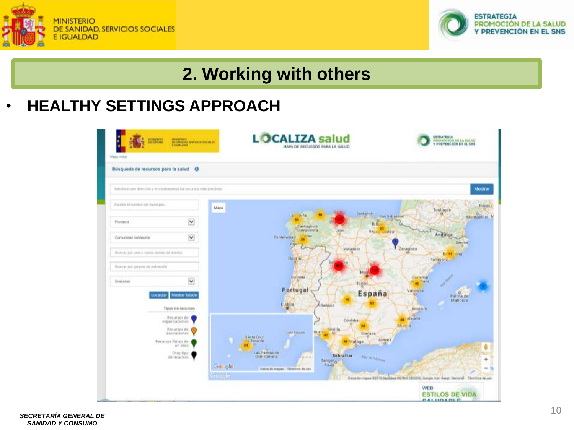



### **2. Working with others**

#### • **HEALTHY SETTINGS APPROACH**

| <b>HIMMING</b><br>Maps impar                                       | <b>THE SAN ROOMS IN MY ROOMS IN EXAMINE</b>   | <b>OCALIZA salud</b><br>HAPA DE RECURSOS PARA LA SALUD                                                                                  | ESTEATEGEA<br><b>PROPERTION ON LA SALUO</b><br>Y PREVENCIÓN EN EL SHS                                                             |
|--------------------------------------------------------------------|-----------------------------------------------|-----------------------------------------------------------------------------------------------------------------------------------------|-----------------------------------------------------------------------------------------------------------------------------------|
| Büsqueda de recursos para la salud . O                             |                                               |                                                                                                                                         |                                                                                                                                   |
| Introduce una dirección y la maximientos los atuandos más próximos |                                               |                                                                                                                                         | <b>Mostrar</b>                                                                                                                    |
| Excellen in rearning stat manniales.                               |                                               | Maps                                                                                                                                    | Nime)<br>Toulouse<br><b>Bantander</b><br>α                                                                                        |
| <b>Provincia</b>                                                   | Y                                             | June<br>La i<br><b>Johnson</b><br>Compostera                                                                                            | Montpellier M<br><b>Wan Sebastian</b><br>o<br>BIIG<br>23                                                                          |
| Comunities Autonome                                                | $\ddot{\bm{\mathsf{v}}}$                      | Porteireduell<br><b>TRIA</b><br>V UU                                                                                                    | León<br>Visite Lasteir<br>Andorra<br>Петатик                                                                                      |
| Busine par una in varios terrias da intento.                       |                                               | Operlo                                                                                                                                  | Zaraguza<br>Waliadolid<br><b>Britt Grim</b><br>Тегария.                                                                           |
| Bueras just grupos, its indrimites                                 |                                               |                                                                                                                                         | ма                                                                                                                                |
| Gretakhed                                                          | $\dot{\mathbf{v}}$                            | <b>Ournstan</b><br>Portugal                                                                                                             | <b>Castellan</b><br><b>Park</b><br>$\frac{1}{2}$ at<br>Taggal<br>Valencia                                                         |
| <b>Locattrae</b>                                                   | <b>Mustral Intado</b>                         | Linboa<br><b>Glastavia</b>                                                                                                              | España<br>o<br><b>Falma</b> de                                                                                                    |
|                                                                    | Tipos de recursos                             |                                                                                                                                         | <b>Benedirry</b><br>as Alaiante                                                                                                   |
|                                                                    | - Recursos de<br>elganoacepnes<br>Recursos de |                                                                                                                                         | <b>Continue</b><br>Murcia<br><b>Jevilla</b>                                                                                       |
|                                                                    | akorbactones'                                 | History<br><b>Cities Season</b><br>Santa Crist                                                                                          | O.<br>Granada                                                                                                                     |
|                                                                    | Recorsos Histori de<br>on into                | Tu:Tonseiller<br>m                                                                                                                      | Aimeria<br>Malaga                                                                                                                 |
|                                                                    | <b>Othi</b> tipio<br>die recursos.            | car Palmar on<br><b>GONECAHALLE</b><br>$1 - 1 - 1$<br>Tangero<br><b>Wallie</b><br>Gosole<br>Datos de Hogos - Tarminos de cerc<br>Google | Gibraltar<br><b>We de Allinger</b><br>Sans ile massa 82016 Davišaus DE/BAG (80009), Brogn, Vol. Geogr. Nacional : Termines de uso |
|                                                                    |                                               |                                                                                                                                         | WEB<br><b>ESTILOS DE VIDA</b><br><b>CALLIDADI P</b>                                                                               |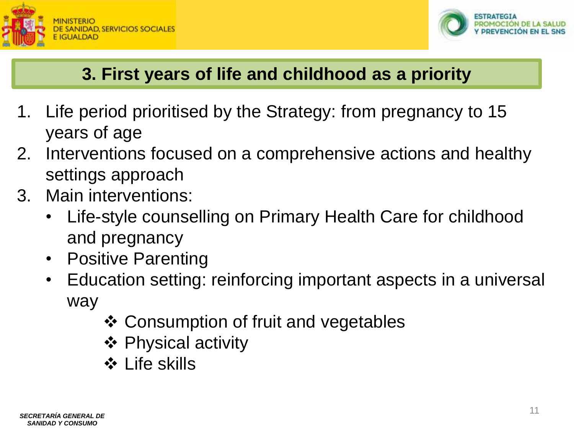



### **3. First years of life and childhood as a priority**

- 1. Life period prioritised by the Strategy: from pregnancy to 15 years of age
- 2. Interventions focused on a comprehensive actions and healthy settings approach
- 3. Main interventions:
	- Life-style counselling on Primary Health Care for childhood and pregnancy
	- Positive Parenting
	- Education setting: reinforcing important aspects in a universal way
		- ❖ Consumption of fruit and vegetables
		- **❖ Physical activity**
		- **❖ Life skills**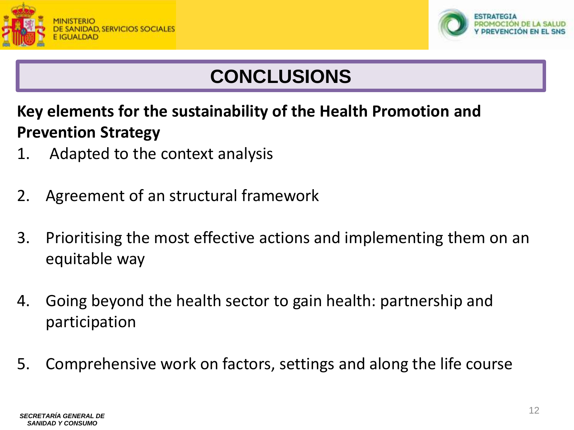



## **CONCLUSIONS**

**Key elements for the sustainability of the Health Promotion and Prevention Strategy**

- 1. Adapted to the context analysis
- 2. Agreement of an structural framework
- 3. Prioritising the most effective actions and implementing them on an equitable way
- 4. Going beyond the health sector to gain health: partnership and participation
- 5. Comprehensive work on factors, settings and along the life course